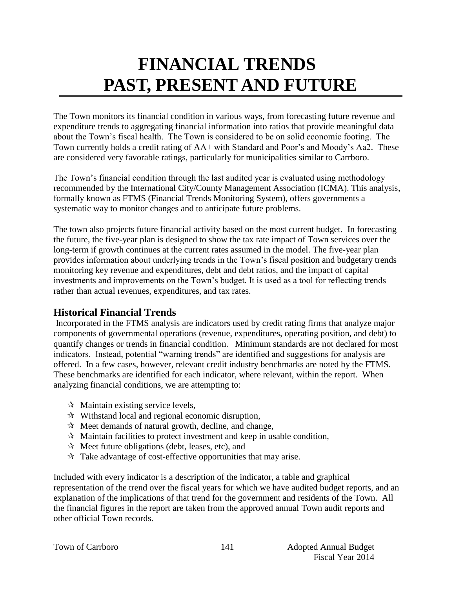# **FINANCIAL TRENDS PAST, PRESENT AND FUTURE**

The Town monitors its financial condition in various ways, from forecasting future revenue and expenditure trends to aggregating financial information into ratios that provide meaningful data about the Town's fiscal health. The Town is considered to be on solid economic footing. The Town currently holds a credit rating of AA+ with Standard and Poor's and Moody's Aa2. These are considered very favorable ratings, particularly for municipalities similar to Carrboro.

The Town's financial condition through the last audited year is evaluated using methodology recommended by the International City/County Management Association (ICMA). This analysis, formally known as FTMS (Financial Trends Monitoring System), offers governments a systematic way to monitor changes and to anticipate future problems.

The town also projects future financial activity based on the most current budget. In forecasting the future, the five-year plan is designed to show the tax rate impact of Town services over the long-term if growth continues at the current rates assumed in the model. The five-year plan provides information about underlying trends in the Town's fiscal position and budgetary trends monitoring key revenue and expenditures, debt and debt ratios, and the impact of capital investments and improvements on the Town's budget. It is used as a tool for reflecting trends rather than actual revenues, expenditures, and tax rates.

# **Historical Financial Trends**

Incorporated in the FTMS analysis are indicators used by credit rating firms that analyze major components of governmental operations (revenue, expenditures, operating position, and debt) to quantify changes or trends in financial condition. Minimum standards are not declared for most indicators. Instead, potential "warning trends" are identified and suggestions for analysis are offered. In a few cases, however, relevant credit industry benchmarks are noted by the FTMS. These benchmarks are identified for each indicator, where relevant, within the report. When analyzing financial conditions, we are attempting to:

- $\forall$  Maintain existing service levels,
- $\mathcal{R}$  Withstand local and regional economic disruption,
- $\mathcal{R}$  Meet demands of natural growth, decline, and change,
- $\mathcal{R}$  Maintain facilities to protect investment and keep in usable condition,
- $\mathcal{R}$  Meet future obligations (debt, leases, etc), and
- $\mathcal{R}$  Take advantage of cost-effective opportunities that may arise.

Included with every indicator is a description of the indicator, a table and graphical representation of the trend over the fiscal years for which we have audited budget reports, and an explanation of the implications of that trend for the government and residents of the Town. All the financial figures in the report are taken from the approved annual Town audit reports and other official Town records.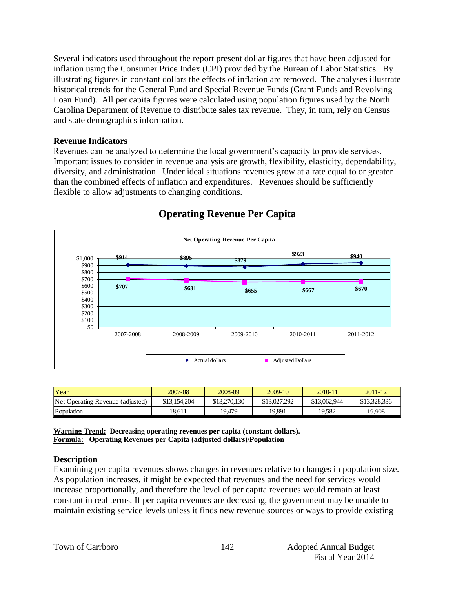Several indicators used throughout the report present dollar figures that have been adjusted for inflation using the Consumer Price Index (CPI) provided by the Bureau of Labor Statistics. By illustrating figures in constant dollars the effects of inflation are removed. The analyses illustrate historical trends for the General Fund and Special Revenue Funds (Grant Funds and Revolving Loan Fund). All per capita figures were calculated using population figures used by the North Carolina Department of Revenue to distribute sales tax revenue. They, in turn, rely on Census and state demographics information.

#### **Revenue Indicators**

Revenues can be analyzed to determine the local government's capacity to provide services. Important issues to consider in revenue analysis are growth, flexibility, elasticity, dependability, diversity, and administration. Under ideal situations revenues grow at a rate equal to or greater than the combined effects of inflation and expenditures. Revenues should be sufficiently flexible to allow adjustments to changing conditions.



# **Operating Revenue Per Capita**

| Year                             | 2007-08      | 2008-09      | 2009-10      | 2010-11      | $2011 - 12$  |
|----------------------------------|--------------|--------------|--------------|--------------|--------------|
| Net Operating Revenue (adjusted) | \$13,154,204 | \$13,270,130 | \$13,027,292 | \$13,062,944 | \$13,328,336 |
| Population                       | 18.611       | 19.479       | 19,891       | 19.582       | 19.905       |

**Warning Trend: Decreasing operating revenues per capita (constant dollars). Formula: Operating Revenues per Capita (adjusted dollars)/Population**

#### **Description**

Examining per capita revenues shows changes in revenues relative to changes in population size. As population increases, it might be expected that revenues and the need for services would increase proportionally, and therefore the level of per capita revenues would remain at least constant in real terms. If per capita revenues are decreasing, the government may be unable to maintain existing service levels unless it finds new revenue sources or ways to provide existing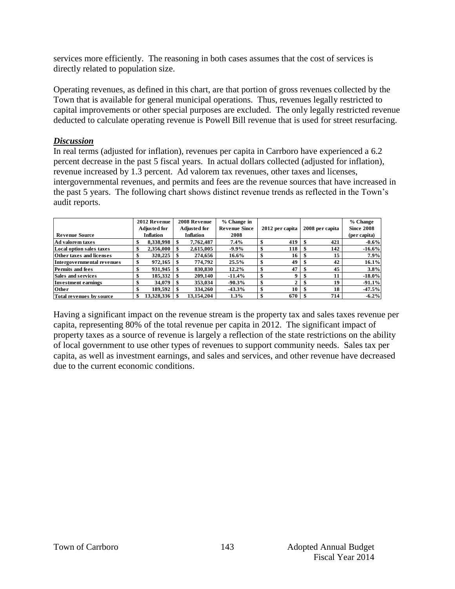services more efficiently. The reasoning in both cases assumes that the cost of services is directly related to population size.

Operating revenues, as defined in this chart, are that portion of gross revenues collected by the Town that is available for general municipal operations. Thus, revenues legally restricted to capital improvements or other special purposes are excluded. The only legally restricted revenue deducted to calculate operating revenue is Powell Bill revenue that is used for street resurfacing.

#### *Discussion*

In real terms (adjusted for inflation), revenues per capita in Carrboro have experienced a 6.2 percent decrease in the past 5 fiscal years. In actual dollars collected (adjusted for inflation), revenue increased by 1.3 percent. Ad valorem tax revenues, other taxes and licenses, intergovernmental revenues, and permits and fees are the revenue sources that have increased in the past 5 years. The following chart shows distinct revenue trends as reflected in the Town's audit reports.

|                            | 2012 Revenue     | 2008 Revenue | % Change in          |   |                 |   |                 | % Change          |
|----------------------------|------------------|--------------|----------------------|---|-----------------|---|-----------------|-------------------|
|                            | Adjusted for     | Adjusted for | <b>Revenue Since</b> |   | 2012 per capita |   | 2008 per capita | <b>Since 2008</b> |
| <b>Revenue Source</b>      | <b>Inflation</b> | Inflation    | 2008                 |   |                 |   |                 | (per capita)      |
| Ad valorem taxes           | 8,338,998        | 7,762,487    | 7.4%                 |   | 419             |   | 421             | $-0.6\%$          |
| Local option sales taxes   | 2.356,000        | 2.615.005    | $-9.9\%$             |   | 118             |   | 142             | $-16.6%$          |
| Other taxes and licenses   | 320,225          | 274.656      | $16.6\%$             | æ | 16              |   | 15              | 7.9%              |
| Intergovernmental revenues | 972,165          | 774.792      | 25.5%                |   | 49              |   | 42              | 16.1%             |
| <b>Permits and fees</b>    | 931.945          | 830,830      | $12.2\%$             |   | 47              |   | 45              | 3.8%              |
| Sales and services         | 185.332          | 209,140      | $-11.4%$             |   | 9               |   | 11              | $-18.0\%$         |
| <b>Investment earnings</b> | 34,079           | 353,034      | $-90.3%$             | э | ◠               | Œ | 19              | $-91.1%$          |
| Other                      | 189.592          | 334,260      | $-43.3%$             |   | 10              |   | 18              | $-47.5%$          |
| Total revenues by source   | 13,328,336       | 13.154.204   | 1.3%                 |   | 670             |   | 714             | $-6.2\%$          |

Having a significant impact on the revenue stream is the property tax and sales taxes revenue per capita, representing 80% of the total revenue per capita in 2012. The significant impact of property taxes as a source of revenue is largely a reflection of the state restrictions on the ability of local government to use other types of revenues to support community needs. Sales tax per capita, as well as investment earnings, and sales and services, and other revenue have decreased due to the current economic conditions.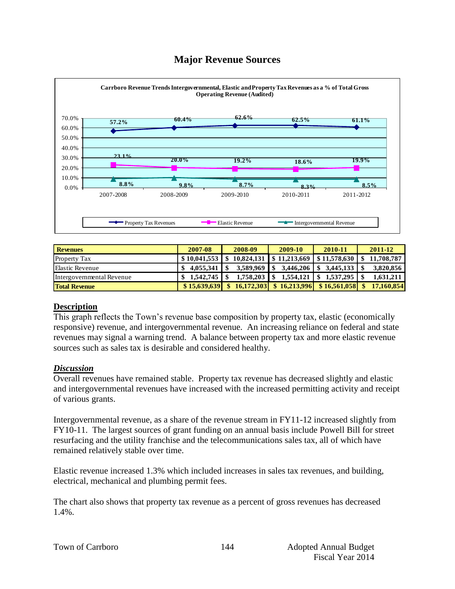# **Major Revenue Sources**



| - Property Tax Revenues   |                | Elastic Revenue   |                             | пиегеоуепшения кеуение |   |            |
|---------------------------|----------------|-------------------|-----------------------------|------------------------|---|------------|
|                           |                |                   |                             |                        |   |            |
| <b>Revenues</b>           | 2007-08        | 2008-09           | 2009-10                     | 2010-11                |   | 2011-12    |
| <b>Property Tax</b>       |                | 10.824.131        | $$11,213,669$ $$11,578,630$ |                        | S | 11,708,787 |
| <b>Elastic Revenue</b>    | 4.055.341<br>S | 3,589,969         | 3,446,206                   | 3,445,133<br>\$        |   | 3,820,856  |
| Intergovernmental Revenue | 1.542.745      | 1,758,203         | 1,554,121                   | 1,537,295              |   | 1,631,211  |
| <b>Total Revenue</b>      | \$15,639,639   | 16,172,303<br>\$. | \$16,213,996                | \$16,561,058           |   | 17.160.854 |

#### **Description**

This graph reflects the Town's revenue base composition by property tax, elastic (economically responsive) revenue, and intergovernmental revenue. An increasing reliance on federal and state revenues may signal a warning trend. A balance between property tax and more elastic revenue sources such as sales tax is desirable and considered healthy.

#### *Discussion*

Overall revenues have remained stable. Property tax revenue has decreased slightly and elastic and intergovernmental revenues have increased with the increased permitting activity and receipt of various grants.

Intergovernmental revenue, as a share of the revenue stream in FY11-12 increased slightly from FY10-11. The largest sources of grant funding on an annual basis include Powell Bill for street resurfacing and the utility franchise and the telecommunications sales tax, all of which have remained relatively stable over time.

Elastic revenue increased 1.3% which included increases in sales tax revenues, and building, electrical, mechanical and plumbing permit fees.

The chart also shows that property tax revenue as a percent of gross revenues has decreased 1.4%.

|  |  | Town of Carrboro |
|--|--|------------------|
|--|--|------------------|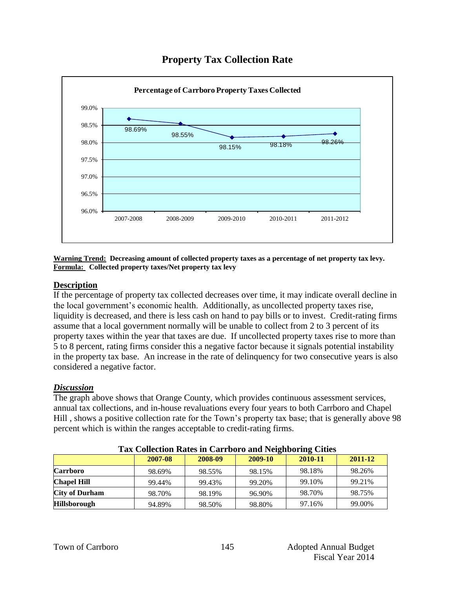

# **Property Tax Collection Rate**

**Warning Trend: Decreasing amount of collected property taxes as a percentage of net property tax levy. Formula: Collected property taxes/Net property tax levy**

#### **Description**

If the percentage of property tax collected decreases over time, it may indicate overall decline in the local government's economic health. Additionally, as uncollected property taxes rise, liquidity is decreased, and there is less cash on hand to pay bills or to invest. Credit-rating firms assume that a local government normally will be unable to collect from 2 to 3 percent of its property taxes within the year that taxes are due. If uncollected property taxes rise to more than 5 to 8 percent, rating firms consider this a negative factor because it signals potential instability in the property tax base. An increase in the rate of delinquency for two consecutive years is also considered a negative factor.

#### *Discussion*

The graph above shows that Orange County, which provides continuous assessment services, annual tax collections, and in-house revaluations every four years to both Carrboro and Chapel Hill , shows a positive collection rate for the Town's property tax base; that is generally above 98 percent which is within the ranges acceptable to credit-rating firms.

|                       | Tux Concentrum Nates in Carriotro and Indignoting Chies |         |         |         |         |
|-----------------------|---------------------------------------------------------|---------|---------|---------|---------|
|                       | 2007-08                                                 | 2008-09 | 2009-10 | 2010-11 | 2011-12 |
| <b>Carrboro</b>       | 98.69%                                                  | 98.55%  | 98.15%  | 98.18%  | 98.26%  |
| <b>Chapel Hill</b>    | 99.44%                                                  | 99.43%  | 99.20%  | 99.10%  | 99.21%  |
| <b>City of Durham</b> | 98.70%                                                  | 98.19%  | 96.90%  | 98.70%  | 98.75%  |
| <b>Hillsborough</b>   | 94.89%                                                  | 98.50%  | 98.80%  | 97.16%  | 99.00%  |

#### **Tax Collection Rates in Carrboro and Neighboring Cities**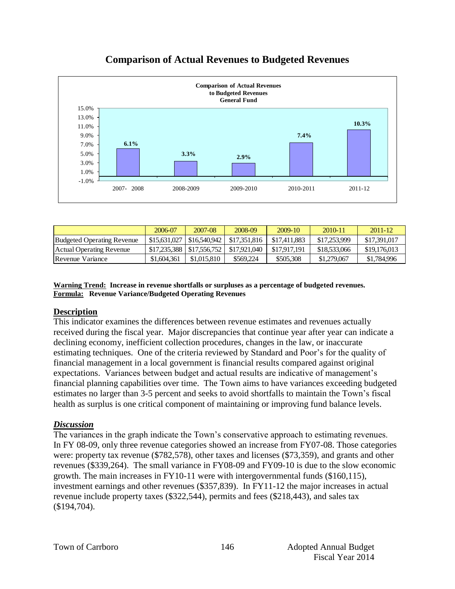

# **Comparison of Actual Revenues to Budgeted Revenues**

|                            | 2006-07                     | 2007-08      | 2008-09      | $2009-10$    | 2010-11      | $2011 - 12$  |
|----------------------------|-----------------------------|--------------|--------------|--------------|--------------|--------------|
| Budgeted Operating Revenue | \$15,631,027                | \$16,540,942 | \$17,351,816 | \$17,411,883 | \$17,253,999 | \$17,391,017 |
| Actual Operating Revenue   | \$17,235,388   \$17,556,752 |              | \$17,921,040 | \$17,917,191 | \$18,533,066 | \$19,176,013 |
| Revenue Variance           | \$1,604,361                 | \$1,015,810  | \$569,224    | \$505,308    | \$1,279,067  | \$1,784,996  |

**Warning Trend: Increase in revenue shortfalls or surpluses as a percentage of budgeted revenues. Formula: Revenue Variance/Budgeted Operating Revenues**

#### **Description**

This indicator examines the differences between revenue estimates and revenues actually received during the fiscal year. Major discrepancies that continue year after year can indicate a declining economy, inefficient collection procedures, changes in the law, or inaccurate estimating techniques. One of the criteria reviewed by Standard and Poor's for the quality of financial management in a local government is financial results compared against original expectations. Variances between budget and actual results are indicative of management's financial planning capabilities over time. The Town aims to have variances exceeding budgeted estimates no larger than 3-5 percent and seeks to avoid shortfalls to maintain the Town's fiscal health as surplus is one critical component of maintaining or improving fund balance levels.

#### *Discussion*

The variances in the graph indicate the Town's conservative approach to estimating revenues. In FY 08-09, only three revenue categories showed an increase from FY07-08. Those categories were: property tax revenue (\$782,578), other taxes and licenses (\$73,359), and grants and other revenues (\$339,264). The small variance in FY08-09 and FY09-10 is due to the slow economic growth. The main increases in FY10-11 were with intergovernmental funds (\$160,115), investment earnings and other revenues (\$357,839). In FY11-12 the major increases in actual revenue include property taxes (\$322,544), permits and fees (\$218,443), and sales tax (\$194,704).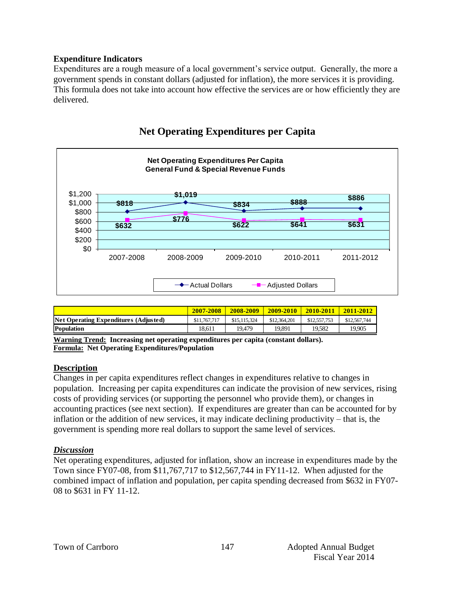#### **Expenditure Indicators**

Expenditures are a rough measure of a local government's service output. Generally, the more a government spends in constant dollars (adjusted for inflation), the more services it is providing. This formula does not take into account how effective the services are or how efficiently they are delivered.



# **Net Operating Expenditures per Capita**

|                                       | 2007-2008    | 2008-2009    | $2009 - 2010$ | 2010-2011    | 2011-2012    |
|---------------------------------------|--------------|--------------|---------------|--------------|--------------|
| Net Operating Expenditures (Adjusted) | \$11,767,717 | \$15,115,324 | \$12,364,201  | \$12,557,753 | \$12,567,744 |
| <b>Population</b>                     | 18.611       | 19.479       | 19.891        | 19.582       | 19.905       |

**Warning Trend: Increasing net operating expenditures per capita (constant dollars). Formula: Net Operating Expenditures/Population**

#### **Description**

Changes in per capita expenditures reflect changes in expenditures relative to changes in population. Increasing per capita expenditures can indicate the provision of new services, rising costs of providing services (or supporting the personnel who provide them), or changes in accounting practices (see next section). If expenditures are greater than can be accounted for by inflation or the addition of new services, it may indicate declining productivity – that is, the government is spending more real dollars to support the same level of services.

#### *Discussion*

Net operating expenditures, adjusted for inflation, show an increase in expenditures made by the Town since FY07-08, from \$11,767,717 to \$12,567,744 in FY11-12. When adjusted for the combined impact of inflation and population, per capita spending decreased from \$632 in FY07- 08 to \$631 in FY 11-12.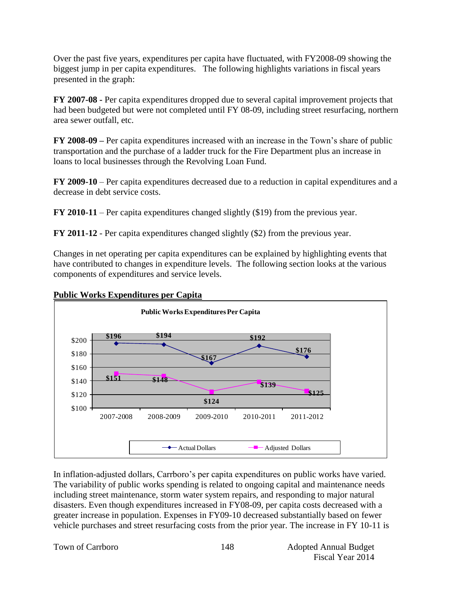Over the past five years, expenditures per capita have fluctuated, with FY2008-09 showing the biggest jump in per capita expenditures. The following highlights variations in fiscal years presented in the graph:

**FY 2007-08 -** Per capita expenditures dropped due to several capital improvement projects that had been budgeted but were not completed until FY 08-09, including street resurfacing, northern area sewer outfall, etc.

**FY 2008-09 –** Per capita expenditures increased with an increase in the Town's share of public transportation and the purchase of a ladder truck for the Fire Department plus an increase in loans to local businesses through the Revolving Loan Fund.

**FY 2009-10** – Per capita expenditures decreased due to a reduction in capital expenditures and a decrease in debt service costs.

**FY 2010-11** – Per capita expenditures changed slightly (\$19) from the previous year.

**FY 2011-12** - Per capita expenditures changed slightly (\$2) from the previous year.

Changes in net operating per capita expenditures can be explained by highlighting events that have contributed to changes in expenditure levels. The following section looks at the various components of expenditures and service levels.



#### **Public Works Expenditures per Capita**

In inflation-adjusted dollars, Carrboro's per capita expenditures on public works have varied. The variability of public works spending is related to ongoing capital and maintenance needs including street maintenance, storm water system repairs, and responding to major natural disasters. Even though expenditures increased in FY08-09, per capita costs decreased with a greater increase in population. Expenses in FY09-10 decreased substantially based on fewer vehicle purchases and street resurfacing costs from the prior year. The increase in FY 10-11 is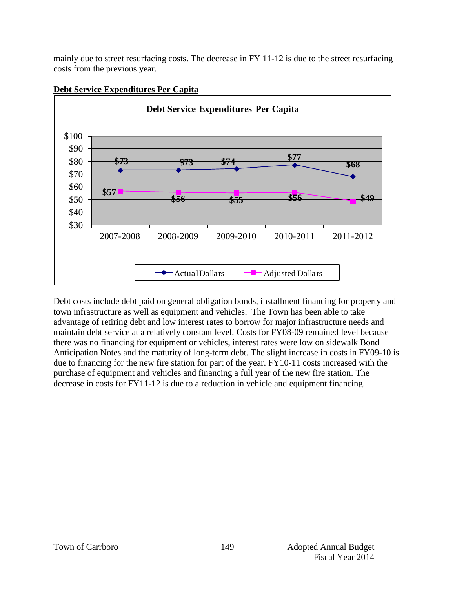mainly due to street resurfacing costs. The decrease in FY 11-12 is due to the street resurfacing costs from the previous year.



#### **Debt Service Expenditures Per Capita**

Debt costs include debt paid on general obligation bonds, installment financing for property and town infrastructure as well as equipment and vehicles. The Town has been able to take advantage of retiring debt and low interest rates to borrow for major infrastructure needs and maintain debt service at a relatively constant level. Costs for FY08-09 remained level because there was no financing for equipment or vehicles, interest rates were low on sidewalk Bond Anticipation Notes and the maturity of long-term debt. The slight increase in costs in FY09-10 is due to financing for the new fire station for part of the year. FY10-11 costs increased with the purchase of equipment and vehicles and financing a full year of the new fire station. The decrease in costs for FY11-12 is due to a reduction in vehicle and equipment financing.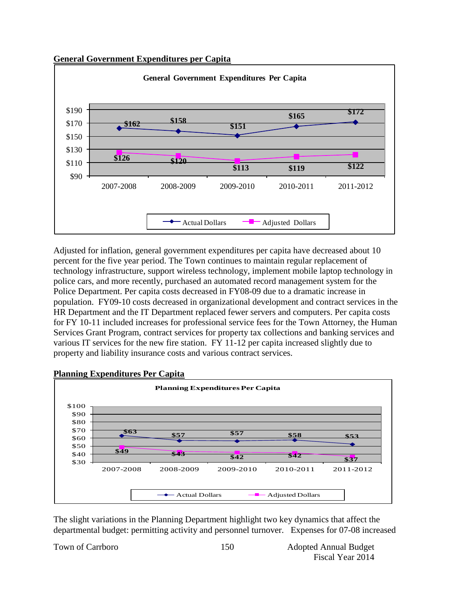#### **General Government Expenditures per Capita**



Adjusted for inflation, general government expenditures per capita have decreased about 10 percent for the five year period. The Town continues to maintain regular replacement of technology infrastructure, support wireless technology, implement mobile laptop technology in police cars, and more recently, purchased an automated record management system for the Police Department. Per capita costs decreased in FY08-09 due to a dramatic increase in population. FY09-10 costs decreased in organizational development and contract services in the HR Department and the IT Department replaced fewer servers and computers. Per capita costs for FY 10-11 included increases for professional service fees for the Town Attorney, the Human Services Grant Program, contract services for property tax collections and banking services and various IT services for the new fire station. FY 11-12 per capita increased slightly due to property and liability insurance costs and various contract services.



#### **Planning Expenditures Per Capita**

The slight variations in the Planning Department highlight two key dynamics that affect the departmental budget: permitting activity and personnel turnover. Expenses for 07-08 increased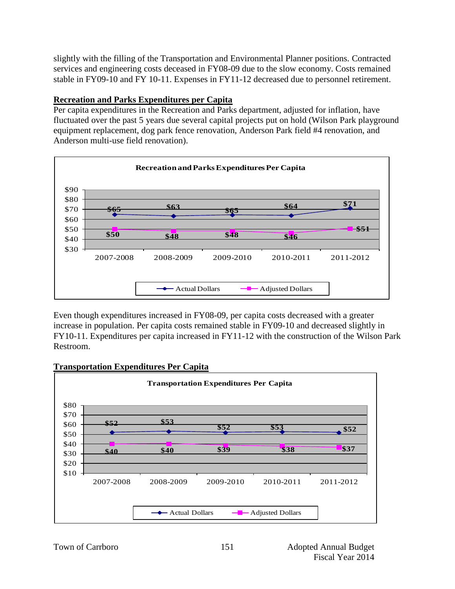slightly with the filling of the Transportation and Environmental Planner positions. Contracted services and engineering costs deceased in FY08-09 due to the slow economy. Costs remained stable in FY09-10 and FY 10-11. Expenses in FY11-12 decreased due to personnel retirement.

#### **Recreation and Parks Expenditures per Capita**

Per capita expenditures in the Recreation and Parks department, adjusted for inflation, have fluctuated over the past 5 years due several capital projects put on hold (Wilson Park playground equipment replacement, dog park fence renovation, Anderson Park field #4 renovation, and Anderson multi-use field renovation).



Even though expenditures increased in FY08-09, per capita costs decreased with a greater increase in population. Per capita costs remained stable in FY09-10 and decreased slightly in FY10-11. Expenditures per capita increased in FY11-12 with the construction of the Wilson Park Restroom.



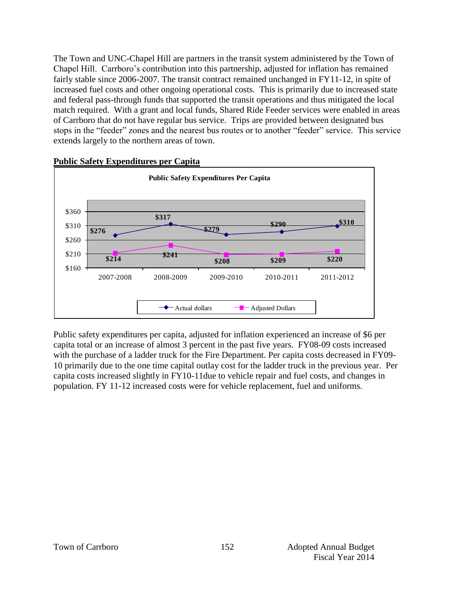The Town and UNC-Chapel Hill are partners in the transit system administered by the Town of Chapel Hill. Carrboro's contribution into this partnership, adjusted for inflation has remained fairly stable since 2006-2007. The transit contract remained unchanged in FY11-12, in spite of increased fuel costs and other ongoing operational costs. This is primarily due to increased state and federal pass-through funds that supported the transit operations and thus mitigated the local match required. With a grant and local funds, Shared Ride Feeder services were enabled in areas of Carrboro that do not have regular bus service. Trips are provided between designated bus stops in the "feeder" zones and the nearest bus routes or to another "feeder" service. This service extends largely to the northern areas of town.



#### **Public Safety Expenditures per Capita**

Public safety expenditures per capita, adjusted for inflation experienced an increase of \$6 per capita total or an increase of almost 3 percent in the past five years. FY08-09 costs increased with the purchase of a ladder truck for the Fire Department. Per capita costs decreased in FY09- 10 primarily due to the one time capital outlay cost for the ladder truck in the previous year. Per capita costs increased slightly in FY10-11due to vehicle repair and fuel costs, and changes in population. FY 11-12 increased costs were for vehicle replacement, fuel and uniforms.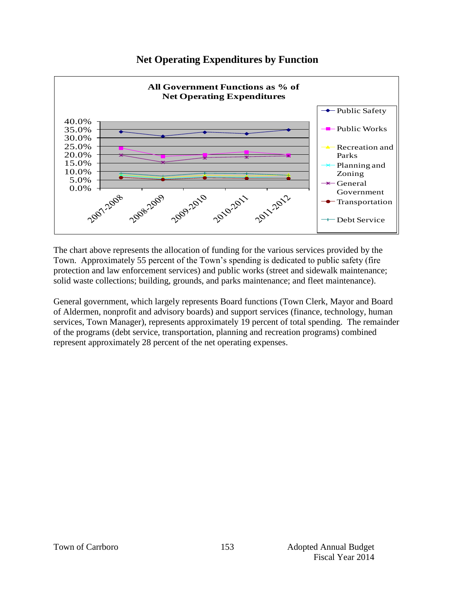

# **Net Operating Expenditures by Function**

The chart above represents the allocation of funding for the various services provided by the Town. Approximately 55 percent of the Town's spending is dedicated to public safety (fire protection and law enforcement services) and public works (street and sidewalk maintenance; solid waste collections; building, grounds, and parks maintenance; and fleet maintenance).

General government, which largely represents Board functions (Town Clerk, Mayor and Board of Aldermen, nonprofit and advisory boards) and support services (finance, technology, human services, Town Manager), represents approximately 19 percent of total spending. The remainder of the programs (debt service, transportation, planning and recreation programs) combined represent approximately 28 percent of the net operating expenses.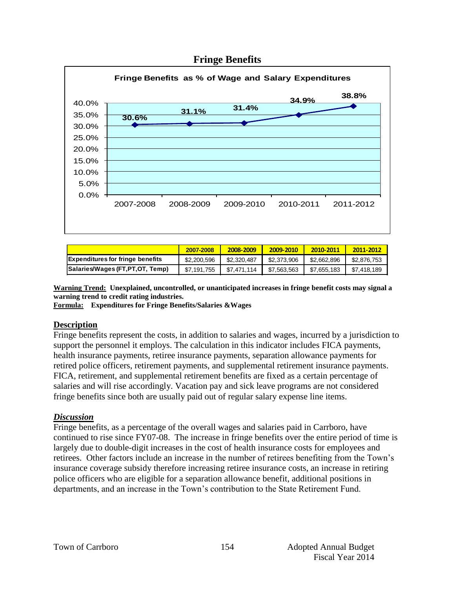

#### **Fringe Benefits**

|                                         | 2007-2008   | 2008-2009   | 2009-2010   | 2010-2011   | 2011-2012   |
|-----------------------------------------|-------------|-------------|-------------|-------------|-------------|
| <b>Expenditures for fringe benefits</b> | \$2,200,596 | \$2,320,487 | \$2,373,906 | \$2,662,896 | \$2,876,753 |
| Salaries/Wages (FT, PT, OT, Temp)       | \$7,191,755 | \$7.471.114 | \$7,563,563 | \$7.655.183 | \$7,418,189 |

**Warning Trend: Unexplained, uncontrolled, or unanticipated increases in fringe benefit costs may signal a warning trend to credit rating industries.**

**Formula: Expenditures for Fringe Benefits/Salaries &Wages** 

#### **Description**

Fringe benefits represent the costs, in addition to salaries and wages, incurred by a jurisdiction to support the personnel it employs. The calculation in this indicator includes FICA payments, health insurance payments, retiree insurance payments, separation allowance payments for retired police officers, retirement payments, and supplemental retirement insurance payments. FICA, retirement, and supplemental retirement benefits are fixed as a certain percentage of salaries and will rise accordingly. Vacation pay and sick leave programs are not considered fringe benefits since both are usually paid out of regular salary expense line items.

#### *Discussion*

Fringe benefits, as a percentage of the overall wages and salaries paid in Carrboro, have continued to rise since FY07-08. The increase in fringe benefits over the entire period of time is largely due to double-digit increases in the cost of health insurance costs for employees and retirees. Other factors include an increase in the number of retirees benefiting from the Town's insurance coverage subsidy therefore increasing retiree insurance costs, an increase in retiring police officers who are eligible for a separation allowance benefit, additional positions in departments, and an increase in the Town's contribution to the State Retirement Fund.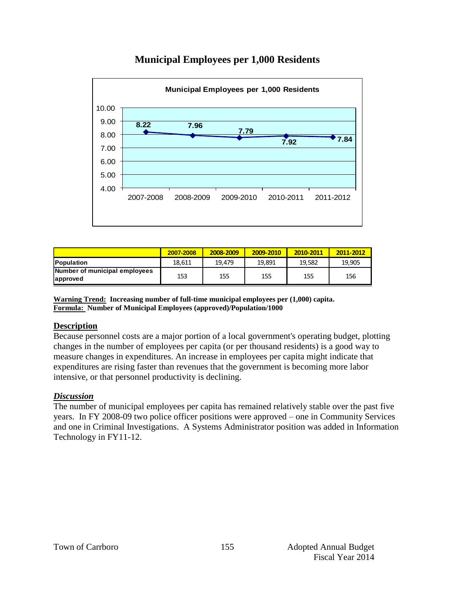# **Municipal Employees per 1,000 Residents**



|                                           | 2007-2008 | 2008-2009 | 2009-2010 | 2010-2011 | 2011-2012 |
|-------------------------------------------|-----------|-----------|-----------|-----------|-----------|
| <b>Population</b>                         | 18.611    | 19.479    | 19.891    | 19.582    | 19.905    |
| Number of municipal employees<br>approved | 153       | 155       | 155       | 155       | 156       |

**Warning Trend: Increasing number of full-time municipal employees per (1,000) capita. Formula: Number of Municipal Employees (approved)/Population/1000**

#### **Description**

Because personnel costs are a major portion of a local government's operating budget, plotting changes in the number of employees per capita (or per thousand residents) is a good way to measure changes in expenditures. An increase in employees per capita might indicate that expenditures are rising faster than revenues that the government is becoming more labor intensive, or that personnel productivity is declining.

#### *Discussion*

The number of municipal employees per capita has remained relatively stable over the past five years. In FY 2008-09 two police officer positions were approved – one in Community Services and one in Criminal Investigations. A Systems Administrator position was added in Information Technology in FY11-12.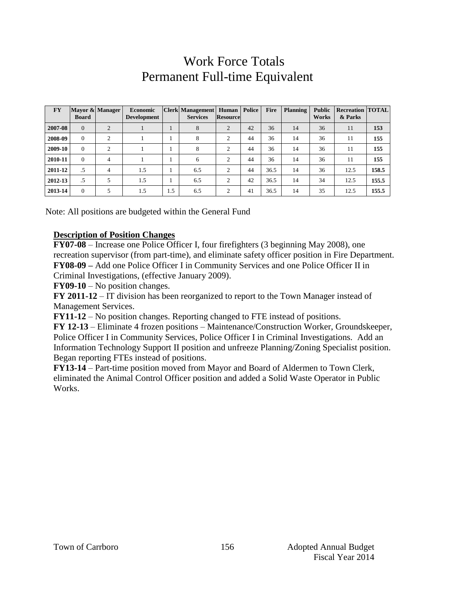# Work Force Totals Permanent Full-time Equivalent

| <b>FY</b> | <b>Board</b>   | Mayor & Manager | <b>Economic</b><br><b>Development</b> |     | <b>Clerk Management</b><br><b>Services</b> | Human<br><b>Resource</b> | Police | <b>Fire</b> | <b>Planning</b> | <b>Public</b><br><b>Works</b> | <b>Recreation TOTAL</b><br>& Parks |       |
|-----------|----------------|-----------------|---------------------------------------|-----|--------------------------------------------|--------------------------|--------|-------------|-----------------|-------------------------------|------------------------------------|-------|
| 2007-08   | $\overline{0}$ | $\overline{2}$  |                                       |     | 8                                          | $\overline{2}$           | 42     | 36          | 14              | 36                            | 11                                 | 153   |
| 2008-09   | $\Omega$       | $\mathcal{L}$   |                                       |     | 8                                          | 2                        | 44     | 36          | 14              | 36                            | 11                                 | 155   |
| 2009-10   | $\mathbf{0}$   | $\Omega$        |                                       |     | 8                                          | $\Omega$                 | 44     | 36          | 14              | 36                            | 11                                 | 155   |
| 2010-11   | $\mathbf{0}$   | 4               |                                       |     | 6                                          | 2                        | 44     | 36          | 14              | 36                            | 11                                 | 155   |
| 2011-12   | .5             | 4               | 1.5                                   |     | 6.5                                        | $\overline{c}$           | 44     | 36.5        | 14              | 36                            | 12.5                               | 158.5 |
| 2012-13   | .5             | 5               | 1.5                                   |     | 6.5                                        | 2                        | 42     | 36.5        | 14              | 34                            | 12.5                               | 155.5 |
| 2013-14   | $\mathbf{0}$   | 5               | 1.5                                   | 1.5 | 6.5                                        | 2                        | 41     | 36.5        | 14              | 35                            | 12.5                               | 155.5 |

Note: All positions are budgeted within the General Fund

#### **Description of Position Changes**

**FY07-08** – Increase one Police Officer I, four firefighters (3 beginning May 2008), one recreation supervisor (from part-time), and eliminate safety officer position in Fire Department. **FY08-09 –** Add one Police Officer I in Community Services and one Police Officer II in Criminal Investigations, (effective January 2009).

**FY09-10** – No position changes.

**FY 2011-12** – IT division has been reorganized to report to the Town Manager instead of Management Services.

**FY11-12** – No position changes. Reporting changed to FTE instead of positions.

**FY 12-13** – Eliminate 4 frozen positions – Maintenance/Construction Worker, Groundskeeper, Police Officer I in Community Services, Police Officer I in Criminal Investigations. Add an Information Technology Support II position and unfreeze Planning/Zoning Specialist position. Began reporting FTEs instead of positions.

**FY13-14** – Part-time position moved from Mayor and Board of Aldermen to Town Clerk, eliminated the Animal Control Officer position and added a Solid Waste Operator in Public Works.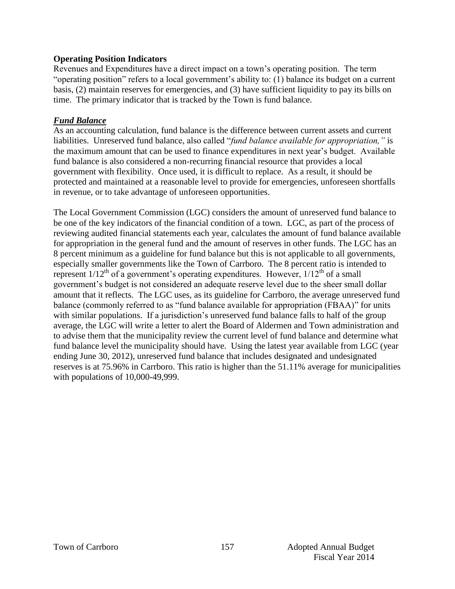#### **Operating Position Indicators**

Revenues and Expenditures have a direct impact on a town's operating position. The term "operating position" refers to a local government's ability to: (1) balance its budget on a current basis, (2) maintain reserves for emergencies, and (3) have sufficient liquidity to pay its bills on time. The primary indicator that is tracked by the Town is fund balance.

#### *Fund Balance*

As an accounting calculation, fund balance is the difference between current assets and current liabilities. Unreserved fund balance, also called "*fund balance available for appropriation,"* is the maximum amount that can be used to finance expenditures in next year's budget. Available fund balance is also considered a non-recurring financial resource that provides a local government with flexibility. Once used, it is difficult to replace. As a result, it should be protected and maintained at a reasonable level to provide for emergencies, unforeseen shortfalls in revenue, or to take advantage of unforeseen opportunities.

The Local Government Commission (LGC) considers the amount of unreserved fund balance to be one of the key indicators of the financial condition of a town. LGC, as part of the process of reviewing audited financial statements each year, calculates the amount of fund balance available for appropriation in the general fund and the amount of reserves in other funds. The LGC has an 8 percent minimum as a guideline for fund balance but this is not applicable to all governments, especially smaller governments like the Town of Carrboro. The 8 percent ratio is intended to represent  $1/12^{th}$  of a government's operating expenditures. However,  $1/12^{th}$  of a small government's budget is not considered an adequate reserve level due to the sheer small dollar amount that it reflects. The LGC uses, as its guideline for Carrboro, the average unreserved fund balance (commonly referred to as "fund balance available for appropriation (FBAA)" for units with similar populations. If a jurisdiction's unreserved fund balance falls to half of the group average, the LGC will write a letter to alert the Board of Aldermen and Town administration and to advise them that the municipality review the current level of fund balance and determine what fund balance level the municipality should have. Using the latest year available from LGC (year ending June 30, 2012), unreserved fund balance that includes designated and undesignated reserves is at 75.96% in Carrboro. This ratio is higher than the 51.11% average for municipalities with populations of 10,000-49,999.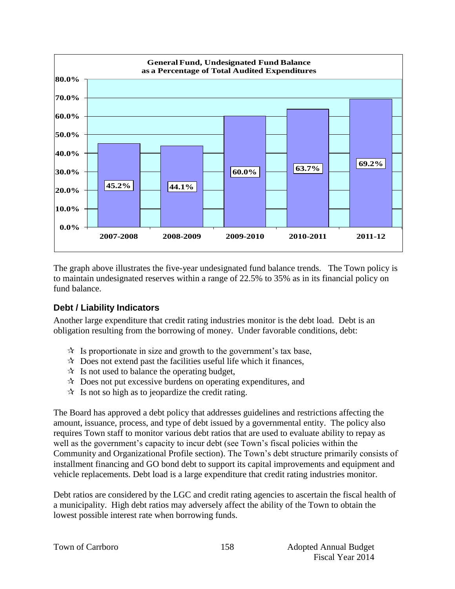

The graph above illustrates the five-year undesignated fund balance trends. The Town policy is to maintain undesignated reserves within a range of 22.5% to 35% as in its financial policy on fund balance.

#### **Debt / Liability Indicators**

Another large expenditure that credit rating industries monitor is the debt load. Debt is an obligation resulting from the borrowing of money. Under favorable conditions, debt:

- $\mathcal{R}$  Is proportionate in size and growth to the government's tax base,
- $\mathcal{R}$  Does not extend past the facilities useful life which it finances,
- $\mathcal{R}$  Is not used to balance the operating budget,
- $\mathcal{R}$  Does not put excessive burdens on operating expenditures, and
- $\mathcal{R}$  Is not so high as to jeopardize the credit rating.

The Board has approved a debt policy that addresses guidelines and restrictions affecting the amount, issuance, process, and type of debt issued by a governmental entity. The policy also requires Town staff to monitor various debt ratios that are used to evaluate ability to repay as well as the government's capacity to incur debt (see Town's fiscal policies within the Community and Organizational Profile section). The Town's debt structure primarily consists of installment financing and GO bond debt to support its capital improvements and equipment and vehicle replacements. Debt load is a large expenditure that credit rating industries monitor.

Debt ratios are considered by the LGC and credit rating agencies to ascertain the fiscal health of a municipality. High debt ratios may adversely affect the ability of the Town to obtain the lowest possible interest rate when borrowing funds.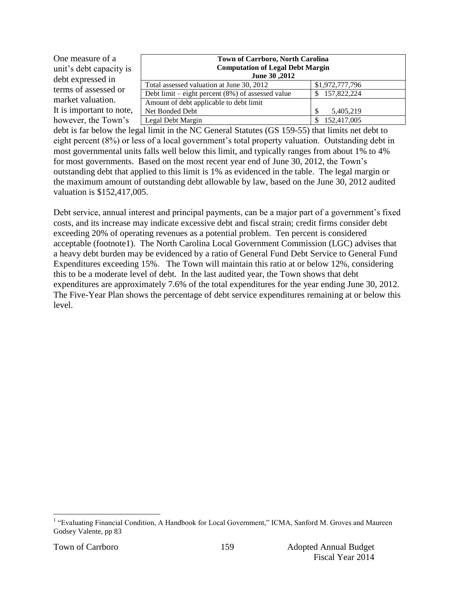| One measure of a<br>unit's debt capacity is<br>debt expressed in | <b>Town of Carrboro, North Carolina</b><br><b>Computation of Legal Debt Margin</b><br>June 30, 2012 |                 |  |  |  |
|------------------------------------------------------------------|-----------------------------------------------------------------------------------------------------|-----------------|--|--|--|
| terms of assessed or                                             | Total assessed valuation at June 30, 2012                                                           | \$1,972,777,796 |  |  |  |
|                                                                  | Debt limit – eight percent $(8\%)$ of assessed value                                                | \$157,822,224   |  |  |  |
| market valuation.                                                | Amount of debt applicable to debt limit                                                             |                 |  |  |  |
| It is important to note,                                         | Net Bonded Debt                                                                                     | 5,405,219       |  |  |  |
| however, the Town's                                              | Legal Debt Margin                                                                                   | 152,417,005     |  |  |  |

debt is far below the legal limit in the NC General Statutes (GS 159-55) that limits net debt to eight percent (8%) or less of a local government's total property valuation. Outstanding debt in most governmental units falls well below this limit, and typically ranges from about 1% to 4% for most governments. Based on the most recent year end of June 30, 2012, the Town's outstanding debt that applied to this limit is 1% as evidenced in the table. The legal margin or the maximum amount of outstanding debt allowable by law, based on the June 30, 2012 audited valuation is \$152,417,005.

Debt service, annual interest and principal payments, can be a major part of a government's fixed costs, and its increase may indicate excessive debt and fiscal strain; credit firms consider debt exceeding 20% of operating revenues as a potential problem. Ten percent is considered acceptable (footnote1). The North Carolina Local Government Commission (LGC) advises that a heavy debt burden may be evidenced by a ratio of General Fund Debt Service to General Fund Expenditures exceeding 15%. The Town will maintain this ratio at or below 12%, considering this to be a moderate level of debt. In the last audited year, the Town shows that debt expenditures are approximately 7.6% of the total expenditures for the year ending June 30, 2012. The Five-Year Plan shows the percentage of debt service expenditures remaining at or below this level.

 1 "Evaluating Financial Condition, A Handbook for Local Government," ICMA, Sanford M. Groves and Maureen Godsey Valente, pp 83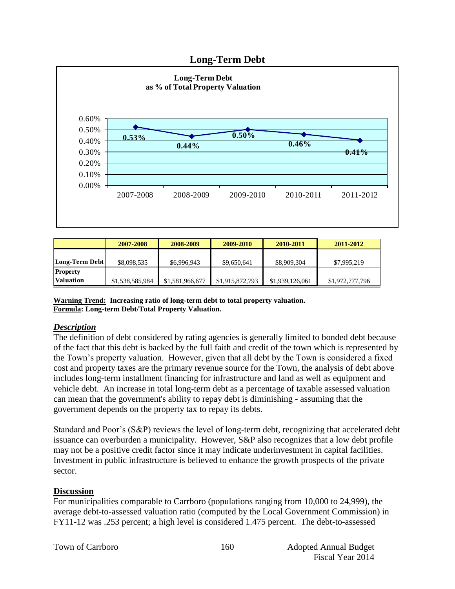#### **Long-Term Debt**



|                  | 2007-2008       | 2008-2009       | 2009-2010       | 2010-2011       | 2011-2012       |
|------------------|-----------------|-----------------|-----------------|-----------------|-----------------|
|                  |                 |                 |                 |                 |                 |
| Long-Term Debt   | \$8,098,535     | \$6,996,943     | \$9,650,641     | \$8,909,304     | \$7,995,219     |
| <b>Property</b>  |                 |                 |                 |                 |                 |
| <b>Valuation</b> | \$1,538,585,984 | \$1,581,966,677 | \$1,915,872,793 | \$1,939,126,061 | \$1,972,777,796 |

**Warning Trend: Increasing ratio of long-term debt to total property valuation. Formula: Long-term Debt/Total Property Valuation.**

#### *Description*

The definition of debt considered by rating agencies is generally limited to bonded debt because of the fact that this debt is backed by the full faith and credit of the town which is represented by the Town's property valuation. However, given that all debt by the Town is considered a fixed cost and property taxes are the primary revenue source for the Town, the analysis of debt above includes long-term installment financing for infrastructure and land as well as equipment and vehicle debt. An increase in total long-term debt as a percentage of taxable assessed valuation can mean that the government's ability to repay debt is diminishing - assuming that the government depends on the property tax to repay its debts.

Standard and Poor's (S&P) reviews the level of long-term debt, recognizing that accelerated debt issuance can overburden a municipality. However, S&P also recognizes that a low debt profile may not be a positive credit factor since it may indicate underinvestment in capital facilities. Investment in public infrastructure is believed to enhance the growth prospects of the private sector.

#### **Discussion**

For municipalities comparable to Carrboro (populations ranging from 10,000 to 24,999), the average debt-to-assessed valuation ratio (computed by the Local Government Commission) in FY11-12 was .253 percent; a high level is considered 1.475 percent. The debt-to-assessed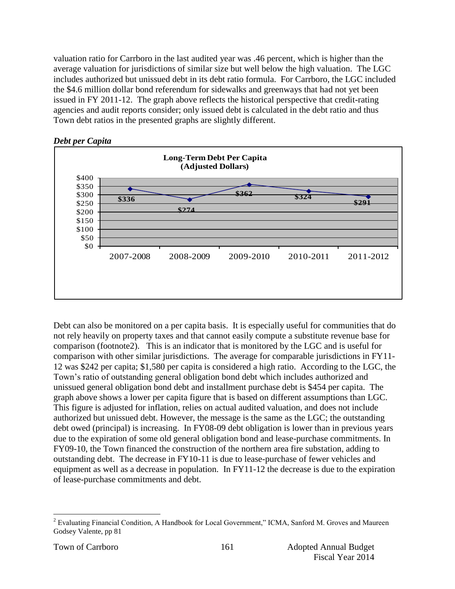valuation ratio for Carrboro in the last audited year was .46 percent, which is higher than the average valuation for jurisdictions of similar size but well below the high valuation. The LGC includes authorized but unissued debt in its debt ratio formula. For Carrboro, the LGC included the \$4.6 million dollar bond referendum for sidewalks and greenways that had not yet been issued in FY 2011-12. The graph above reflects the historical perspective that credit-rating agencies and audit reports consider; only issued debt is calculated in the debt ratio and thus Town debt ratios in the presented graphs are slightly different.





Debt can also be monitored on a per capita basis. It is especially useful for communities that do not rely heavily on property taxes and that cannot easily compute a substitute revenue base for comparison (footnote2). This is an indicator that is monitored by the LGC and is useful for comparison with other similar jurisdictions. The average for comparable jurisdictions in FY11- 12 was \$242 per capita; \$1,580 per capita is considered a high ratio. According to the LGC, the Town's ratio of outstanding general obligation bond debt which includes authorized and unissued general obligation bond debt and installment purchase debt is \$454 per capita. The graph above shows a lower per capita figure that is based on different assumptions than LGC. This figure is adjusted for inflation, relies on actual audited valuation, and does not include authorized but unissued debt. However, the message is the same as the LGC; the outstanding debt owed (principal) is increasing. In FY08-09 debt obligation is lower than in previous years due to the expiration of some old general obligation bond and lease-purchase commitments. In FY09-10, the Town financed the construction of the northern area fire substation, adding to outstanding debt. The decrease in FY10-11 is due to lease-purchase of fewer vehicles and equipment as well as a decrease in population. In FY11-12 the decrease is due to the expiration of lease-purchase commitments and debt.

 $\overline{a}$ <sup>2</sup> Evaluating Financial Condition, A Handbook for Local Government," ICMA, Sanford M. Groves and Maureen Godsey Valente, pp 81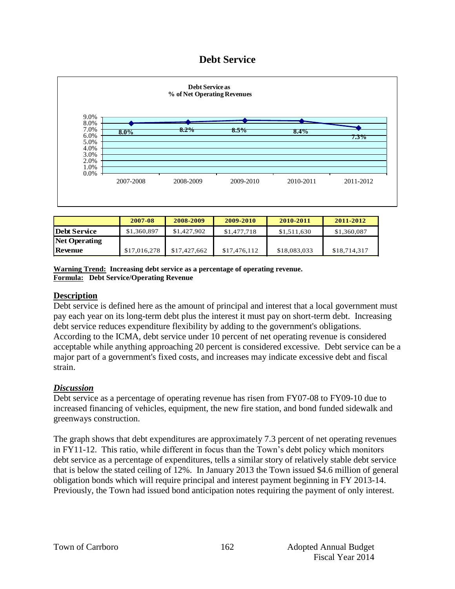### **Debt Service**



|                      | 2007-08      | 2008-2009    | 2009-2010    | 2010-2011    | 2011-2012    |
|----------------------|--------------|--------------|--------------|--------------|--------------|
| <b>Debt Service</b>  | \$1,360,897  | \$1,427,902  | \$1,477,718  | \$1.511.630  | \$1,360,087  |
| <b>Net Operating</b> |              |              |              |              |              |
| <b>Revenue</b>       | \$17,016,278 | \$17,427,662 | \$17,476,112 | \$18,083,033 | \$18,714,317 |

**Warning Trend: Increasing debt service as a percentage of operating revenue. Formula: Debt Service/Operating Revenue**

#### **Description**

Debt service is defined here as the amount of principal and interest that a local government must pay each year on its long-term debt plus the interest it must pay on short-term debt. Increasing debt service reduces expenditure flexibility by adding to the government's obligations. According to the ICMA, debt service under 10 percent of net operating revenue is considered acceptable while anything approaching 20 percent is considered excessive. Debt service can be a major part of a government's fixed costs, and increases may indicate excessive debt and fiscal strain.

#### *Discussion*

Debt service as a percentage of operating revenue has risen from FY07-08 to FY09-10 due to increased financing of vehicles, equipment, the new fire station, and bond funded sidewalk and greenways construction.

The graph shows that debt expenditures are approximately 7.3 percent of net operating revenues in FY11-12. This ratio, while different in focus than the Town's debt policy which monitors debt service as a percentage of expenditures, tells a similar story of relatively stable debt service that is below the stated ceiling of 12%. In January 2013 the Town issued \$4.6 million of general obligation bonds which will require principal and interest payment beginning in FY 2013-14. Previously, the Town had issued bond anticipation notes requiring the payment of only interest.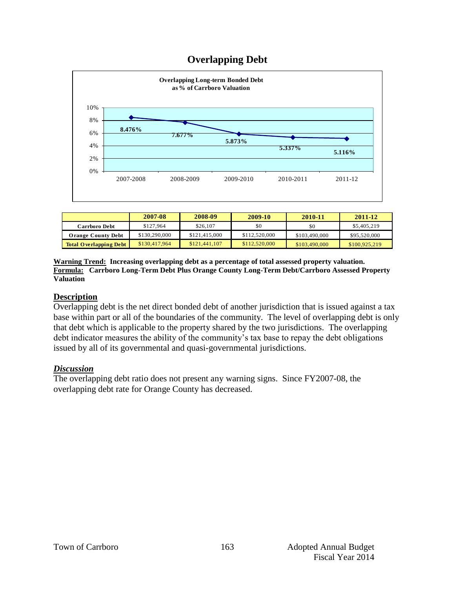# **Overlapping Debt**



|                               | 2007-08       | 2008-09       | 2009-10       | 2010-11       | 2011-12       |
|-------------------------------|---------------|---------------|---------------|---------------|---------------|
| Carrboro Debt                 | \$127.964     | \$26,107      | \$0           | \$0           | \$5,405,219   |
| <b>Orange County Debt</b>     | \$130,290,000 | \$121,415,000 | \$112,520,000 | \$103,490,000 | \$95,520,000  |
| <b>Total Overlapping Debt</b> | \$130,417,964 | \$121,441,107 | \$112,520,000 | \$103,490,000 | \$100,925,219 |

#### **Warning Trend: Increasing overlapping debt as a percentage of total assessed property valuation. Formula: Carrboro Long-Term Debt Plus Orange County Long-Term Debt/Carrboro Assessed Property Valuation**

#### **Description**

Overlapping debt is the net direct bonded debt of another jurisdiction that is issued against a tax base within part or all of the boundaries of the community. The level of overlapping debt is only that debt which is applicable to the property shared by the two jurisdictions. The overlapping debt indicator measures the ability of the community's tax base to repay the debt obligations issued by all of its governmental and quasi-governmental jurisdictions.

#### *Discussion*

The overlapping debt ratio does not present any warning signs. Since FY2007-08, the overlapping debt rate for Orange County has decreased.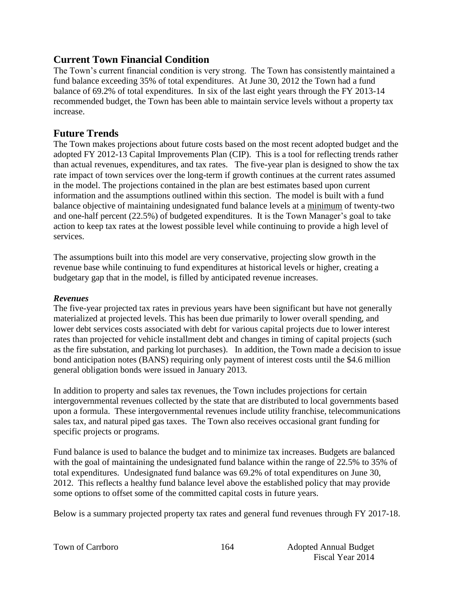# **Current Town Financial Condition**

The Town's current financial condition is very strong. The Town has consistently maintained a fund balance exceeding 35% of total expenditures. At June 30, 2012 the Town had a fund balance of 69.2% of total expenditures. In six of the last eight years through the FY 2013-14 recommended budget, the Town has been able to maintain service levels without a property tax increase.

# **Future Trends**

The Town makes projections about future costs based on the most recent adopted budget and the adopted FY 2012-13 Capital Improvements Plan (CIP). This is a tool for reflecting trends rather than actual revenues, expenditures, and tax rates. The five-year plan is designed to show the tax rate impact of town services over the long-term if growth continues at the current rates assumed in the model. The projections contained in the plan are best estimates based upon current information and the assumptions outlined within this section. The model is built with a fund balance objective of maintaining undesignated fund balance levels at a minimum of twenty-two and one-half percent (22.5%) of budgeted expenditures. It is the Town Manager's goal to take action to keep tax rates at the lowest possible level while continuing to provide a high level of services.

The assumptions built into this model are very conservative, projecting slow growth in the revenue base while continuing to fund expenditures at historical levels or higher, creating a budgetary gap that in the model, is filled by anticipated revenue increases.

#### *Revenues*

The five-year projected tax rates in previous years have been significant but have not generally materialized at projected levels. This has been due primarily to lower overall spending, and lower debt services costs associated with debt for various capital projects due to lower interest rates than projected for vehicle installment debt and changes in timing of capital projects (such as the fire substation, and parking lot purchases). In addition, the Town made a decision to issue bond anticipation notes (BANS) requiring only payment of interest costs until the \$4.6 million general obligation bonds were issued in January 2013.

In addition to property and sales tax revenues, the Town includes projections for certain intergovernmental revenues collected by the state that are distributed to local governments based upon a formula. These intergovernmental revenues include utility franchise, telecommunications sales tax, and natural piped gas taxes. The Town also receives occasional grant funding for specific projects or programs.

Fund balance is used to balance the budget and to minimize tax increases. Budgets are balanced with the goal of maintaining the undesignated fund balance within the range of 22.5% to 35% of total expenditures. Undesignated fund balance was 69.2% of total expenditures on June 30, 2012. This reflects a healthy fund balance level above the established policy that may provide some options to offset some of the committed capital costs in future years.

Below is a summary projected property tax rates and general fund revenues through FY 2017-18.

|  |  |  | Town of Carrboro |
|--|--|--|------------------|
|--|--|--|------------------|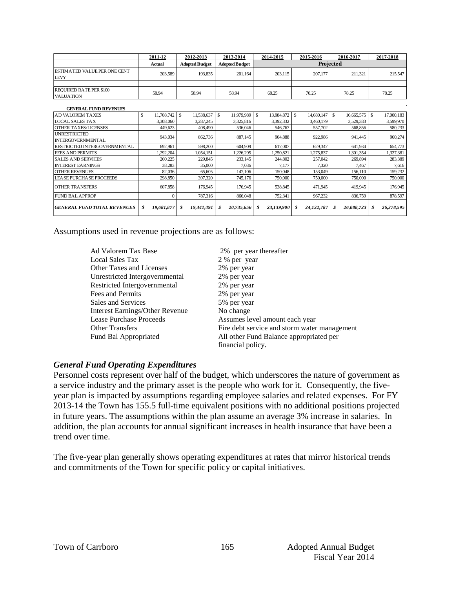|                                             | 2011-12                     | 2012-2013                   | 2013-2014                  | 2014-2015        | 2015-2016                   | 2016-2017         | 2017-2018                  |
|---------------------------------------------|-----------------------------|-----------------------------|----------------------------|------------------|-----------------------------|-------------------|----------------------------|
|                                             | Actual                      | <b>Adopted Budget</b>       | <b>Adopted Budget</b>      |                  |                             |                   |                            |
| ESTIMATED VALUE PER ONE CENT<br><b>LEVY</b> | 203,589                     | 193,835                     | 201.164                    | 203.115          | 207,177                     | 211.321           | 215,547                    |
|                                             |                             |                             |                            |                  |                             |                   |                            |
| REQUIRED RATE PER \$100                     | 58.94                       | 58.94                       | 58.94                      | 68.25            | 70.25                       | 78.25             | 78.25                      |
| <b>VALUATION</b>                            |                             |                             |                            |                  |                             |                   |                            |
|                                             |                             |                             |                            |                  |                             |                   |                            |
| <b>GENERAL FUND REVENUES</b>                |                             |                             |                            |                  |                             |                   |                            |
| <b>AD VALOREM TAXES</b>                     | <sup>\$</sup><br>11,708,742 | 11,538,637<br><sup>\$</sup> | $\mathbb{S}$<br>11,979,989 | \$<br>13,984,872 | $\mathcal{S}$<br>14,680,147 | \$.<br>16,665,575 | $\mathbf{s}$<br>17,000,183 |
| <b>LOCAL SALES TAX</b>                      | 3,308,060                   | 3,287,245                   | 3,325,816                  | 3,392,332        | 3,460,179                   | 3,529,383         | 3,599,970                  |
| <b>OTHER TAXES/LICENSES</b>                 | 449,623                     | 408,490                     | 536,046                    | 546,767          | 557,702                     | 568,856           | 580,233                    |
| <b>UNRESTRICTED</b>                         | 943.034                     | 862,736                     | 887,145                    | 904.888          | 922,986                     | 941.445           | 960,274                    |
| <b>INTERGOVERNMENTAL</b>                    |                             |                             |                            |                  |                             |                   |                            |
| RESTRICTED INTERGOVERNMENTAL                | 692,961                     | 598,200                     | 604,909                    | 617,007          | 629,347                     | 641.934           | 654,773                    |
| <b>FEES AND PERMITS</b>                     | 1,292,204                   | 1.054.151                   | .226.295                   | 1,250,821        | 1.275.837                   | 1.301.354         | 1,327,381                  |
| <b>SALES AND SERVICES</b>                   | 260,225                     | 229,845                     | 233,145                    | 244,802          | 257,042                     | 269.894           | 283,389                    |
| <b>INTEREST EARNINGS</b>                    | 38,283                      | 35,000                      | 7,036                      | 7,177            | 7,320                       | 7,467             | 7,616                      |
| <b>OTHER REVENUES</b>                       | 82,036                      | 65,605                      | 147,106                    | 150,048          | 153,049                     | 156,110           | 159,232                    |
| <b>LEASE PURCHASE PROCEEDS</b>              | 298,850                     | 397,320                     | 745,176                    | 750,000          | 750,000                     | 750,000           | 750,000                    |
| <b>OTHER TRANSFERS</b>                      | 607,858                     | 176,945                     | 176,945                    | 538,845          | 471,945                     | 419.945           | 176,945                    |
| <b>FUND BAL APPROP</b>                      | $\Omega$                    | 787,316                     | 866,048                    | 752,341          | 967,232                     | 836,759           | 878,597                    |
| <b>GENERAL FUND TOTAL REVENUES</b>          | 19,681,877<br>\$            | 19,441,491<br>\$            | 20,735,656<br>\$           | 23,139,900<br>\$ | 24,132,787<br>\$            | \$<br>26,088,723  | 26,378,595<br>\$           |

Assumptions used in revenue projections are as follows:

| Ad Valorem Tax Base                    | 2% per year thereafter                       |
|----------------------------------------|----------------------------------------------|
| Local Sales Tax                        | 2 % per year                                 |
| <b>Other Taxes and Licenses</b>        | 2% per year                                  |
| Unrestricted Intergovernmental         | 2% per year                                  |
| Restricted Intergovernmental           | 2% per year                                  |
| Fees and Permits                       | 2% per year                                  |
| Sales and Services                     | 5% per year                                  |
| <b>Interest Earnings/Other Revenue</b> | No change                                    |
| Lease Purchase Proceeds                | Assumes level amount each year               |
| <b>Other Transfers</b>                 | Fire debt service and storm water management |
| Fund Bal Appropriated                  | All other Fund Balance appropriated per      |
|                                        | financial policy.                            |

#### *General Fund Operating Expenditures*

Personnel costs represent over half of the budget, which underscores the nature of government as a service industry and the primary asset is the people who work for it. Consequently, the fiveyear plan is impacted by assumptions regarding employee salaries and related expenses. For FY 2013-14 the Town has 155.5 full-time equivalent positions with no additional positions projected in future years. The assumptions within the plan assume an average 3% increase in salaries. In addition, the plan accounts for annual significant increases in health insurance that have been a trend over time.

The five-year plan generally shows operating expenditures at rates that mirror historical trends and commitments of the Town for specific policy or capital initiatives.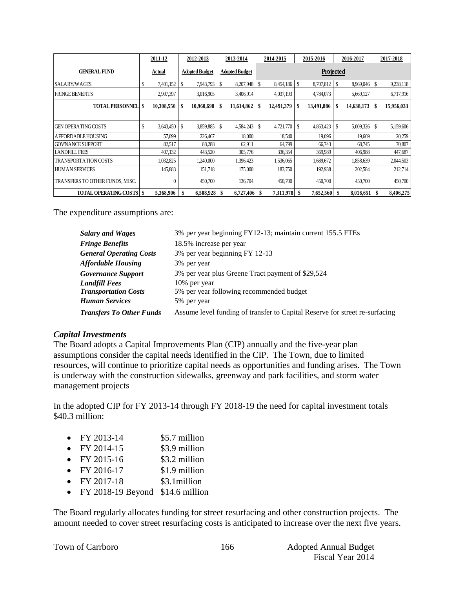|                                   |               | 2011-12    |    | 2012-2013             |    | 2013-2014              |    | 2015-2016<br>2014-2015 |    |            |    | 2016-2017  | 2017-2018 |            |  |
|-----------------------------------|---------------|------------|----|-----------------------|----|------------------------|----|------------------------|----|------------|----|------------|-----------|------------|--|
| <b>GENERAL FUND</b>               | <u>Actual</u> |            |    | <b>Adopted Budget</b> |    | <u> Adopted Budget</u> |    | Projected              |    |            |    |            |           |            |  |
| SALARY/WAGES                      | \$            | 7,401,152  | \$ | 7,943,793             | \$ | 8,207,948              | \$ | 8,454,186              | S  | 8,707,812  | \$ | 8,969,046  | S         | 9,238,118  |  |
| <b>FRINGE BENEFITS</b>            |               | 2,907,397  |    | 3,016,905             |    | 3,406,914              |    | 4,037,193              |    | 4,784,073  |    | 5,669,127  |           | 6,717,916  |  |
| <b>TOTAL PERSONNEL   \$</b>       |               | 10,308,550 | \$ | 10,960,698            | S  | 11,614,862             | S  | 12,491,379             | S  | 13,491,886 | S  | 14,638,173 | S         | 15,956,033 |  |
|                                   |               |            |    |                       |    |                        |    |                        |    |            |    |            |           |            |  |
| <b>GEN OPERATING COSTS</b>        |               | 3,643,450  | \$ | 3,859,885             | \$ | 4,584,243              | \$ | 4,721,770              | S  | 4,863,423  | S  | 5,009,326  | S         | 5,159,606  |  |
| AFFORDABLE HOUSING                |               | 57,099     |    | 226,467               |    | 18,000                 |    | 18,540                 |    | 19,096     |    | 19,669     |           | 20,259     |  |
| <b>GOVNANCE SUPPORT</b>           |               | 82,517     |    | 88,288                |    | 62,911                 |    | 64,799                 |    | 66,743     |    | 68,745     |           | 70,807     |  |
| <b>LANDFILL FEES</b>              |               | 407,132    |    | 443,520               |    | 305,776                |    | 336,354                |    | 369,989    |    | 406,988    |           | 447,687    |  |
| <b>TRANSPORTATION COSTS</b>       |               | 1,032,825  |    | 1,240,000             |    | 1,396,423              |    | 1,536,065              |    | 1,689,672  |    | 1,858,639  |           | 2,044,503  |  |
| <b>HUMAN SERVICES</b>             |               | 145,883    |    | 151,718               |    | 175,000                |    | 183,750                |    | 192,938    |    | 202,584    |           | 212,714    |  |
| TRANSFERS TO OTHER FUNDS, MISC.   |               | 0          |    | 450,700               |    | 136,704                |    | 450,700                |    | 450,700    |    | 450,700    |           | 450,700    |  |
| <b>TOTAL OPERATING COSTS   \$</b> |               | 5,368,906  |    | 6,508,928             | \$ | 6,727,406              | -S | 7,311,978              | -S | 7,652,560  | \$ | 8,016,651  | -S        | 8,406,275  |  |

The expenditure assumptions are:

| <b>Salary and Wages</b>         | 3% per year beginning FY12-13; maintain current 155.5 FTEs                  |
|---------------------------------|-----------------------------------------------------------------------------|
| <b>Fringe Benefits</b>          | 18.5% increase per year                                                     |
| <b>General Operating Costs</b>  | 3% per year beginning FY 12-13                                              |
| <b>Affordable Housing</b>       | 3% per year                                                                 |
| <b>Governance Support</b>       | 3% per year plus Greene Tract payment of \$29,524                           |
| <b>Landfill Fees</b>            | 10% per year                                                                |
| <b>Transportation Costs</b>     | 5% per year following recommended budget                                    |
| Human Services                  | 5% per year                                                                 |
| <b>Transfers To Other Funds</b> | Assume level funding of transfer to Capital Reserve for street re-surfacing |

#### *Capital Investments*

The Board adopts a Capital Improvements Plan (CIP) annually and the five-year plan assumptions consider the capital needs identified in the CIP. The Town, due to limited resources, will continue to prioritize capital needs as opportunities and funding arises. The Town is underway with the construction sidewalks, greenway and park facilities, and storm water management projects

In the adopted CIP for FY 2013-14 through FY 2018-19 the need for capital investment totals \$40.3 million:

- FY 2013-14 \$5.7 million
- $FY 2014-15$  \$3.9 million
- $FY 2015-16$  \$3.2 million
- $FY 2016-17$  \$1.9 million
- $FY 2017-18$  \$3.1 million
- FY 2018-19 Beyond \$14.6 million

The Board regularly allocates funding for street resurfacing and other construction projects. The amount needed to cover street resurfacing costs is anticipated to increase over the next five years.